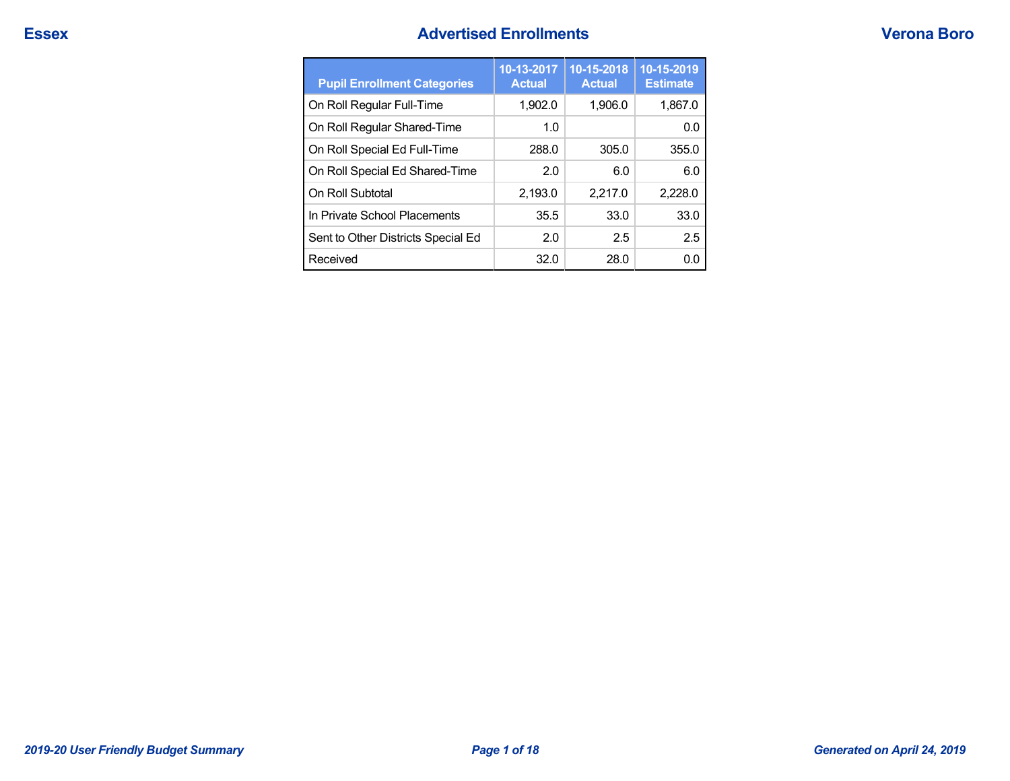# **Essex Advertised Enrollments Verona Boro**

| <b>Pupil Enrollment Categories</b> | 10-13-2017<br><b>Actual</b> | 10-15-2018<br><b>Actual</b> | 10-15-2019<br><b>Estimate</b> |
|------------------------------------|-----------------------------|-----------------------------|-------------------------------|
| On Roll Regular Full-Time          | 1.902.0                     | 1,906.0                     | 1,867.0                       |
| On Roll Regular Shared-Time        | 1.0                         |                             | 0.0                           |
| On Roll Special Ed Full-Time       | 288.0                       | 305.0                       | 355.0                         |
| On Roll Special Ed Shared-Time     | 2.0                         | 6.0                         | 6.0                           |
| On Roll Subtotal                   | 2,193.0                     | 2,217.0                     | 2.228.0                       |
| In Private School Placements       | 35.5                        | 33.0                        | 33.0                          |
| Sent to Other Districts Special Ed | 2.0                         | 2.5                         | 2.5                           |
| Received                           | 32.0                        | 28.0                        | 0.0                           |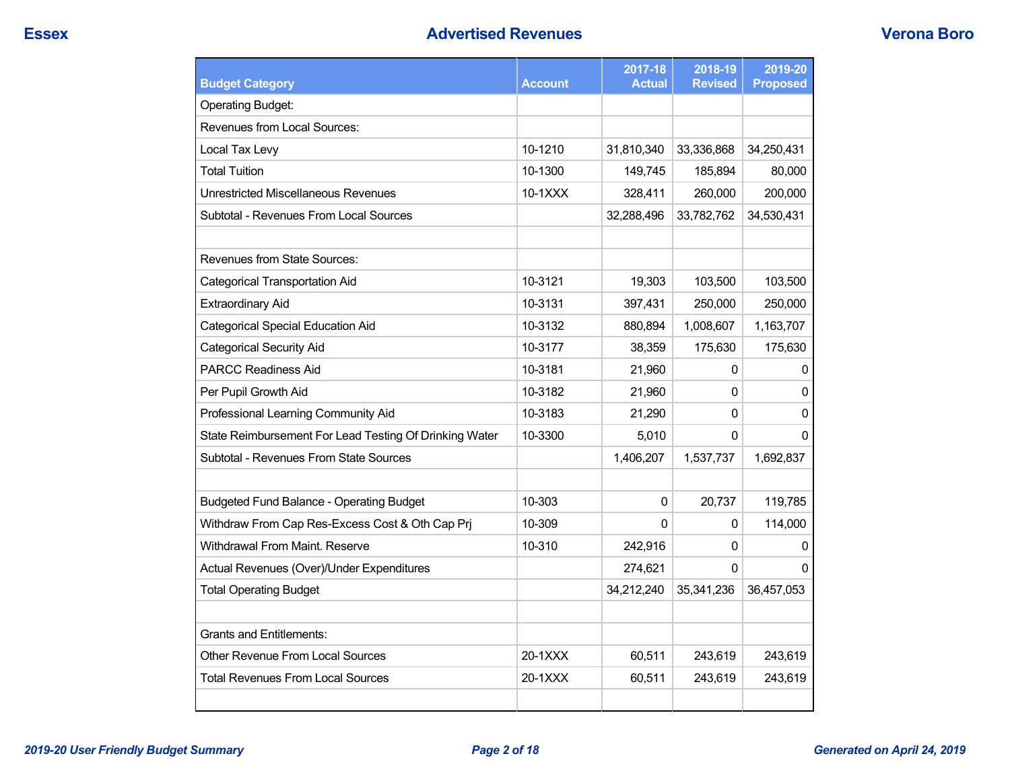| <b>Budget Category</b>                                 | <b>Account</b> | 2017-18<br><b>Actual</b> | 2018-19<br><b>Revised</b> | 2019-20<br><b>Proposed</b> |
|--------------------------------------------------------|----------------|--------------------------|---------------------------|----------------------------|
| <b>Operating Budget:</b>                               |                |                          |                           |                            |
| Revenues from Local Sources:                           |                |                          |                           |                            |
| Local Tax Levy                                         | 10-1210        | 31,810,340               | 33,336,868                | 34,250,431                 |
| <b>Total Tuition</b>                                   | 10-1300        | 149,745                  | 185,894                   | 80,000                     |
| Unrestricted Miscellaneous Revenues                    | 10-1XXX        | 328,411                  | 260,000                   | 200,000                    |
| Subtotal - Revenues From Local Sources                 |                | 32,288,496               | 33,782,762                | 34,530,431                 |
|                                                        |                |                          |                           |                            |
| <b>Revenues from State Sources:</b>                    |                |                          |                           |                            |
| Categorical Transportation Aid                         | 10-3121        | 19,303                   | 103,500                   | 103,500                    |
| <b>Extraordinary Aid</b>                               | 10-3131        | 397,431                  | 250,000                   | 250,000                    |
| <b>Categorical Special Education Aid</b>               | 10-3132        | 880,894                  | 1,008,607                 | 1,163,707                  |
| <b>Categorical Security Aid</b>                        | 10-3177        | 38,359                   | 175,630                   | 175,630                    |
| <b>PARCC Readiness Aid</b>                             | 10-3181        | 21,960                   | 0                         | 0                          |
| Per Pupil Growth Aid                                   | 10-3182        | 21,960                   | 0                         | 0                          |
| Professional Learning Community Aid                    | 10-3183        | 21,290                   | 0                         | 0                          |
| State Reimbursement For Lead Testing Of Drinking Water | 10-3300        | 5,010                    | 0                         | 0                          |
| Subtotal - Revenues From State Sources                 |                | 1,406,207                | 1,537,737                 | 1,692,837                  |
|                                                        |                |                          |                           |                            |
| <b>Budgeted Fund Balance - Operating Budget</b>        | 10-303         | $\Omega$                 | 20,737                    | 119,785                    |
| Withdraw From Cap Res-Excess Cost & Oth Cap Prj        | 10-309         | $\Omega$                 | 0                         | 114,000                    |
| Withdrawal From Maint. Reserve                         | 10-310         | 242,916                  | 0                         | 0                          |
| Actual Revenues (Over)/Under Expenditures              |                | 274,621                  | $\Omega$                  | $\Omega$                   |
| <b>Total Operating Budget</b>                          |                | 34,212,240               | 35,341,236                | 36,457,053                 |
|                                                        |                |                          |                           |                            |
| <b>Grants and Entitlements:</b>                        |                |                          |                           |                            |
| Other Revenue From Local Sources                       | 20-1XXX        | 60,511                   | 243,619                   | 243,619                    |
| Total Revenues From Local Sources                      | 20-1XXX        | 60,511                   | 243,619                   | 243,619                    |
|                                                        |                |                          |                           |                            |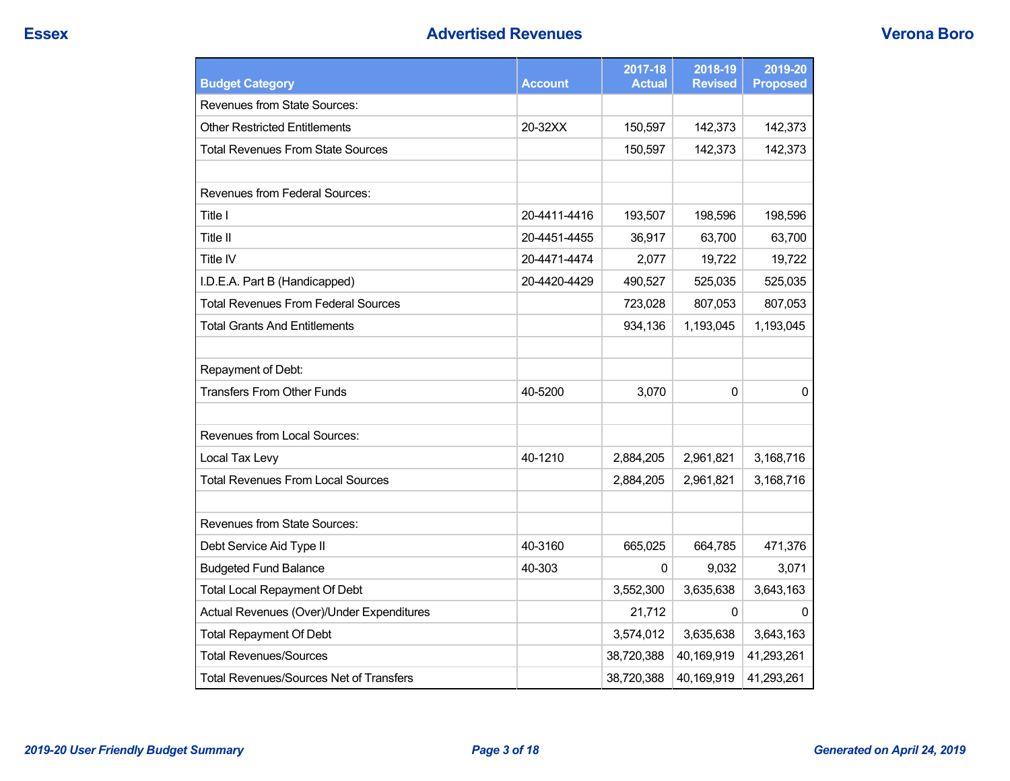| <b>Budget Category</b>                         | Account      | 2017-18<br><b>Actual</b> | 2018-19<br><b>Revised</b> | 2019-20<br><b>Proposed</b> |
|------------------------------------------------|--------------|--------------------------|---------------------------|----------------------------|
| <b>Revenues from State Sources:</b>            |              |                          |                           |                            |
| <b>Other Restricted Entitlements</b>           | 20-32XX      | 150,597                  | 142,373                   | 142,373                    |
| <b>Total Revenues From State Sources</b>       |              | 150,597                  | 142,373                   | 142,373                    |
|                                                |              |                          |                           |                            |
| Revenues from Federal Sources:                 |              |                          |                           |                            |
| Title I                                        | 20-4411-4416 | 193,507                  | 198,596                   | 198,596                    |
| <b>Title II</b>                                | 20-4451-4455 | 36,917                   | 63,700                    | 63,700                     |
| Title IV                                       | 20-4471-4474 | 2,077                    | 19,722                    | 19,722                     |
| I.D.E.A. Part B (Handicapped)                  | 20-4420-4429 | 490,527                  | 525,035                   | 525,035                    |
| <b>Total Revenues From Federal Sources</b>     |              | 723,028                  | 807,053                   | 807,053                    |
| <b>Total Grants And Entitlements</b>           |              | 934,136                  | 1,193,045                 | 1,193,045                  |
|                                                |              |                          |                           |                            |
| Repayment of Debt:                             |              |                          |                           |                            |
| <b>Transfers From Other Funds</b>              | 40-5200      | 3,070                    | 0                         | 0                          |
| Revenues from Local Sources:                   |              |                          |                           |                            |
| Local Tax Levy                                 | 40-1210      | 2,884,205                | 2,961,821                 | 3,168,716                  |
| <b>Total Revenues From Local Sources</b>       |              | 2,884,205                | 2,961,821                 | 3,168,716                  |
|                                                |              |                          |                           |                            |
| Revenues from State Sources:                   |              |                          |                           |                            |
| Debt Service Aid Type II                       | 40-3160      | 665,025                  | 664,785                   | 471,376                    |
| <b>Budgeted Fund Balance</b>                   | 40-303       | $\mathbf 0$              | 9,032                     | 3,071                      |
| <b>Total Local Repayment Of Debt</b>           |              | 3,552,300                | 3,635,638                 | 3,643,163                  |
| Actual Revenues (Over)/Under Expenditures      |              | 21,712                   | 0                         | 0                          |
| <b>Total Repayment Of Debt</b>                 |              | 3,574,012                | 3,635,638                 | 3,643,163                  |
| <b>Total Revenues/Sources</b>                  |              | 38,720,388               | 40,169,919                | 41,293,261                 |
| <b>Total Revenues/Sources Net of Transfers</b> |              | 38,720,388               | 40,169,919                | 41,293,261                 |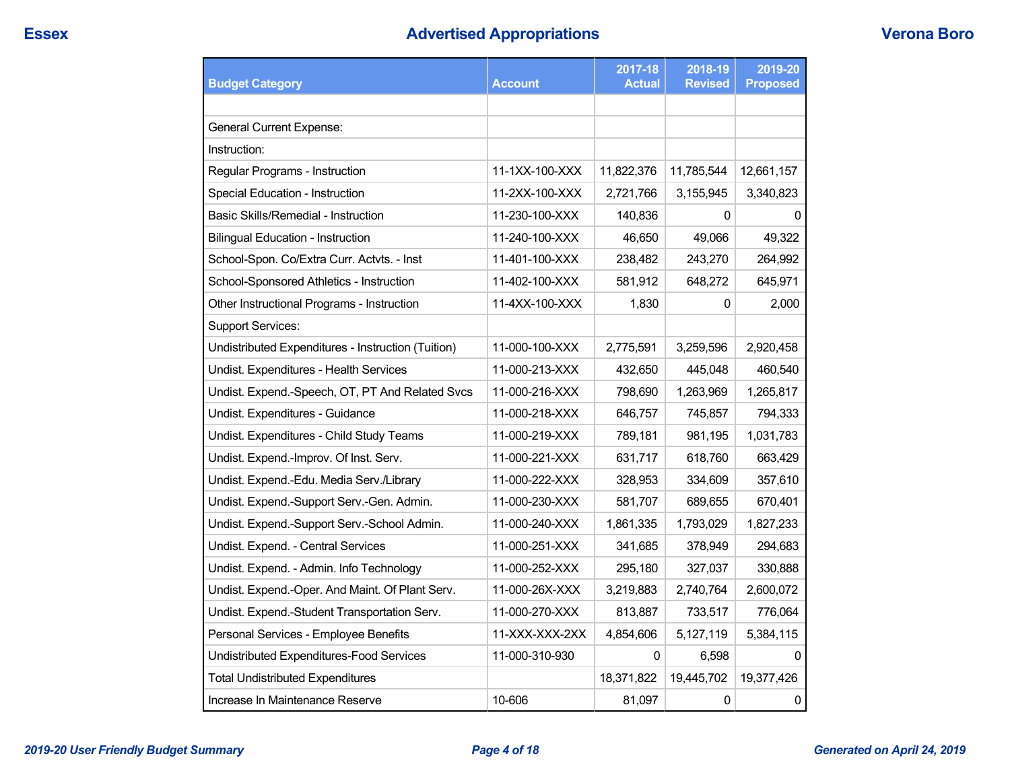# **Essex Advertised Appropriations Verona Boro**

| <b>Budget Category</b>                             | <b>Account</b> | 2017-18<br><b>Actual</b> | 2018-19<br><b>Revised</b> | 2019-20<br><b>Proposed</b> |
|----------------------------------------------------|----------------|--------------------------|---------------------------|----------------------------|
|                                                    |                |                          |                           |                            |
| <b>General Current Expense:</b>                    |                |                          |                           |                            |
| Instruction:                                       |                |                          |                           |                            |
| Regular Programs - Instruction                     | 11-1XX-100-XXX | 11,822,376               | 11,785,544                | 12,661,157                 |
| Special Education - Instruction                    | 11-2XX-100-XXX | 2,721,766                | 3,155,945                 | 3,340,823                  |
| Basic Skills/Remedial - Instruction                | 11-230-100-XXX | 140,836                  | 0                         | 0                          |
| <b>Bilingual Education - Instruction</b>           | 11-240-100-XXX | 46,650                   | 49,066                    | 49,322                     |
| School-Spon. Co/Extra Curr. Actvts. - Inst         | 11-401-100-XXX | 238,482                  | 243,270                   | 264,992                    |
| School-Sponsored Athletics - Instruction           | 11-402-100-XXX | 581,912                  | 648,272                   | 645,971                    |
| Other Instructional Programs - Instruction         | 11-4XX-100-XXX | 1,830                    | 0                         | 2,000                      |
| <b>Support Services:</b>                           |                |                          |                           |                            |
| Undistributed Expenditures - Instruction (Tuition) | 11-000-100-XXX | 2,775,591                | 3,259,596                 | 2,920,458                  |
| Undist. Expenditures - Health Services             | 11-000-213-XXX | 432,650                  | 445,048                   | 460,540                    |
| Undist. Expend.-Speech, OT, PT And Related Svcs    | 11-000-216-XXX | 798,690                  | 1,263,969                 | 1,265,817                  |
| Undist. Expenditures - Guidance                    | 11-000-218-XXX | 646,757                  | 745,857                   | 794,333                    |
| Undist. Expenditures - Child Study Teams           | 11-000-219-XXX | 789,181                  | 981,195                   | 1,031,783                  |
| Undist. Expend.-Improv. Of Inst. Serv.             | 11-000-221-XXX | 631,717                  | 618,760                   | 663,429                    |
| Undist. Expend.-Edu. Media Serv./Library           | 11-000-222-XXX | 328,953                  | 334,609                   | 357,610                    |
| Undist. Expend.-Support Serv.-Gen. Admin.          | 11-000-230-XXX | 581,707                  | 689,655                   | 670,401                    |
| Undist. Expend.-Support Serv.-School Admin.        | 11-000-240-XXX | 1,861,335                | 1,793,029                 | 1,827,233                  |
| Undist. Expend. - Central Services                 | 11-000-251-XXX | 341,685                  | 378,949                   | 294,683                    |
| Undist. Expend. - Admin. Info Technology           | 11-000-252-XXX | 295,180                  | 327,037                   | 330,888                    |
| Undist. Expend.-Oper. And Maint. Of Plant Serv.    | 11-000-26X-XXX | 3,219,883                | 2,740,764                 | 2,600,072                  |
| Undist. Expend.-Student Transportation Serv.       | 11-000-270-XXX | 813,887                  | 733,517                   | 776,064                    |
| Personal Services - Employee Benefits              | 11-XXX-XXX-2XX | 4,854,606                | 5,127,119                 | 5,384,115                  |
| Undistributed Expenditures-Food Services           | 11-000-310-930 | 0                        | 6,598                     | $\Omega$                   |
| <b>Total Undistributed Expenditures</b>            |                | 18,371,822               | 19,445,702                | 19,377,426                 |
| Increase In Maintenance Reserve                    | 10-606         | 81,097                   | $\pmb{0}$                 | $\pmb{0}$                  |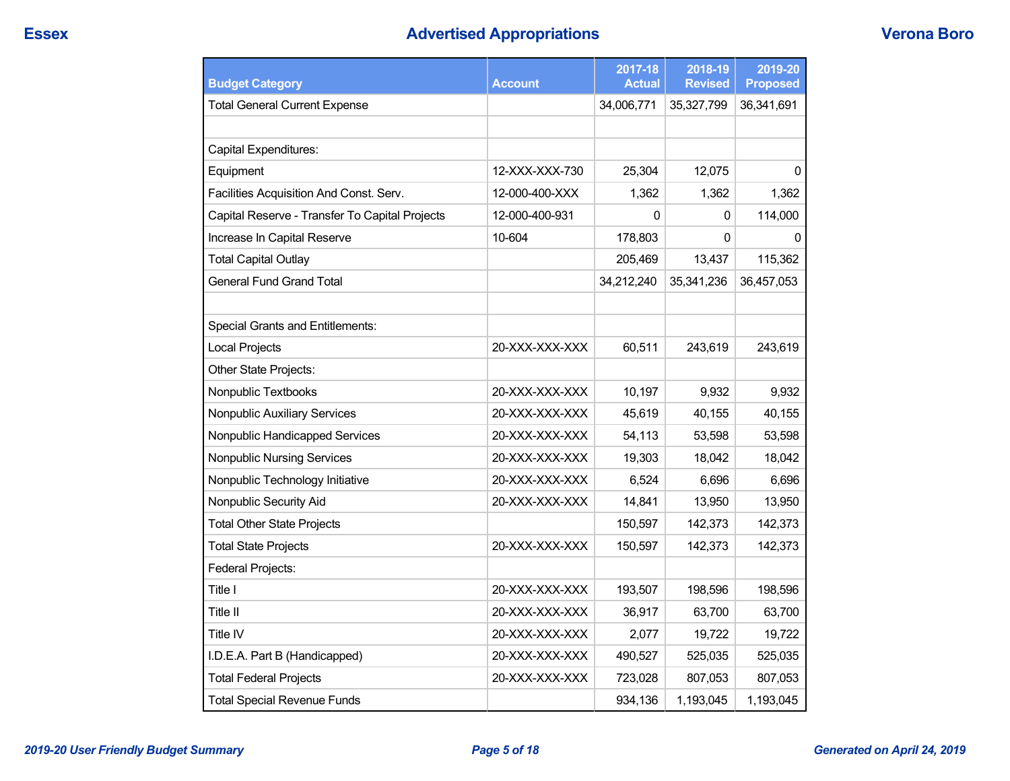# **Essex Advertised Appropriations Verona Boro**

| <b>Budget Category</b>                         | <b>Account</b> | 2017-18<br><b>Actual</b> | 2018-19<br><b>Revised</b> | 2019-20<br><b>Proposed</b> |
|------------------------------------------------|----------------|--------------------------|---------------------------|----------------------------|
| <b>Total General Current Expense</b>           |                | 34,006,771               | 35,327,799                | 36,341,691                 |
|                                                |                |                          |                           |                            |
| Capital Expenditures:                          |                |                          |                           |                            |
| Equipment                                      | 12-XXX-XXX-730 | 25,304                   | 12,075                    | 0                          |
| Facilities Acquisition And Const. Serv.        | 12-000-400-XXX | 1,362                    | 1,362                     | 1,362                      |
| Capital Reserve - Transfer To Capital Projects | 12-000-400-931 | 0                        | 0                         | 114,000                    |
| Increase In Capital Reserve                    | 10-604         | 178,803                  | 0                         | 0                          |
| <b>Total Capital Outlay</b>                    |                | 205,469                  | 13,437                    | 115,362                    |
| <b>General Fund Grand Total</b>                |                | 34,212,240               | 35,341,236                | 36,457,053                 |
|                                                |                |                          |                           |                            |
| <b>Special Grants and Entitlements:</b>        |                |                          |                           |                            |
| <b>Local Projects</b>                          | 20-XXX-XXX-XXX | 60,511                   | 243,619                   | 243,619                    |
| Other State Projects:                          |                |                          |                           |                            |
| Nonpublic Textbooks                            | 20-XXX-XXX-XXX | 10,197                   | 9,932                     | 9,932                      |
| Nonpublic Auxiliary Services                   | 20-XXX-XXX-XXX | 45,619                   | 40,155                    | 40,155                     |
| Nonpublic Handicapped Services                 | 20-XXX-XXX-XXX | 54,113                   | 53,598                    | 53,598                     |
| <b>Nonpublic Nursing Services</b>              | 20-XXX-XXX-XXX | 19,303                   | 18,042                    | 18,042                     |
| Nonpublic Technology Initiative                | 20-XXX-XXX-XXX | 6,524                    | 6,696                     | 6,696                      |
| Nonpublic Security Aid                         | 20-XXX-XXX-XXX | 14,841                   | 13,950                    | 13,950                     |
| <b>Total Other State Projects</b>              |                | 150,597                  | 142,373                   | 142,373                    |
| <b>Total State Projects</b>                    | 20-XXX-XXX-XXX | 150,597                  | 142,373                   | 142,373                    |
| Federal Projects:                              |                |                          |                           |                            |
| Title I                                        | 20-XXX-XXX-XXX | 193,507                  | 198,596                   | 198,596                    |
| Title II                                       | 20-XXX-XXX-XXX | 36,917                   | 63,700                    | 63,700                     |
| Title IV                                       | 20-XXX-XXX-XXX | 2,077                    | 19,722                    | 19,722                     |
| I.D.E.A. Part B (Handicapped)                  | 20-XXX-XXX-XXX | 490,527                  | 525,035                   | 525,035                    |
| <b>Total Federal Projects</b>                  | 20-XXX-XXX-XXX | 723,028                  | 807,053                   | 807,053                    |
| <b>Total Special Revenue Funds</b>             |                | 934,136                  | 1,193,045                 | 1,193,045                  |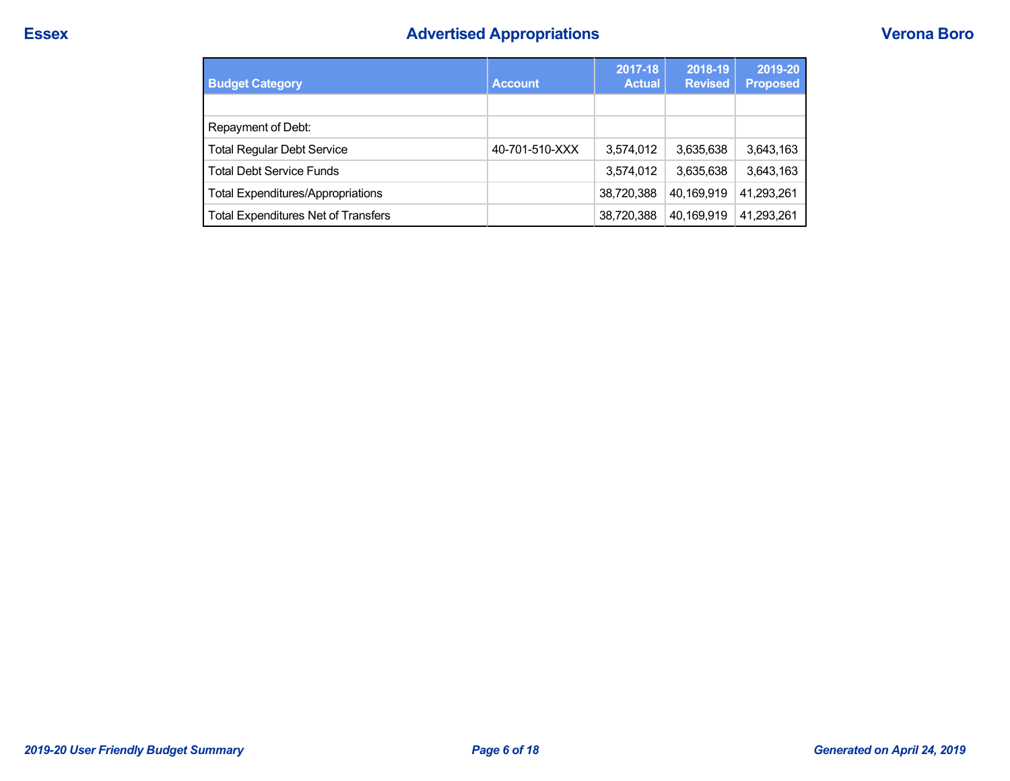# **Essex Advertised Appropriations Verona Boro**

| <b>Budget Category</b>                   | <b>Account</b> | 2017-18<br><b>Actual</b> | 2018-19<br><b>Revised</b> |            |
|------------------------------------------|----------------|--------------------------|---------------------------|------------|
|                                          |                |                          |                           |            |
| Repayment of Debt:                       |                |                          |                           |            |
| <b>Total Regular Debt Service</b>        | 40-701-510-XXX | 3.574.012                | 3,635,638                 | 3,643,163  |
| Total Debt Service Funds                 |                | 3,574,012                | 3,635,638                 | 3,643,163  |
| <b>Total Expenditures/Appropriations</b> |                | 38,720,388               | 40.169.919                | 41,293,261 |
| Total Expenditures Net of Transfers      |                | 38,720,388               | 40,169,919                | 41,293,261 |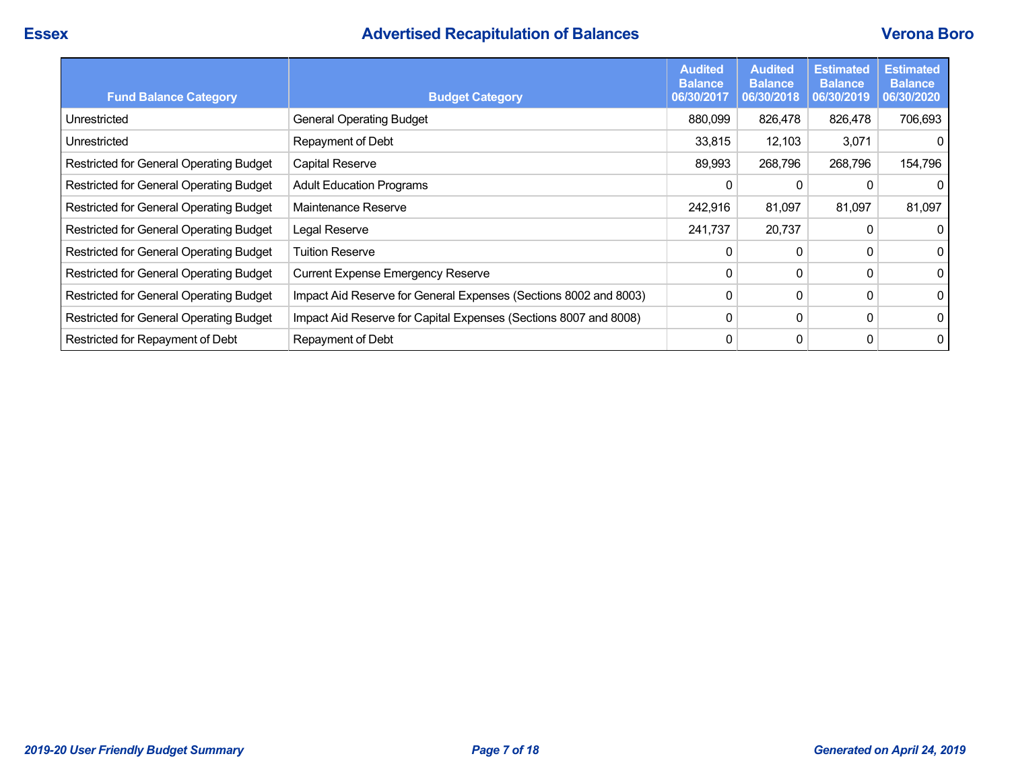# **Essex Advertised Recapitulation of Balances Verona Boro**

| <b>Fund Balance Category</b>            | <b>Budget Category</b>                                           | <b>Audited</b><br><b>Balance</b><br>06/30/2017 | <b>Audited</b><br><b>Balance</b><br>06/30/2018 | <b>Estimated</b><br><b>Balance</b><br>06/30/2019 | <b>Estimated</b><br><b>Balance</b><br>06/30/2020 |
|-----------------------------------------|------------------------------------------------------------------|------------------------------------------------|------------------------------------------------|--------------------------------------------------|--------------------------------------------------|
| Unrestricted                            | <b>General Operating Budget</b>                                  | 880,099                                        | 826,478                                        | 826,478                                          | 706,693                                          |
| Unrestricted                            | Repayment of Debt                                                | 33,815                                         | 12,103                                         | 3,071                                            | 0                                                |
| Restricted for General Operating Budget | Capital Reserve                                                  | 89,993                                         | 268,796                                        | 268,796                                          | 154,796                                          |
| Restricted for General Operating Budget | <b>Adult Education Programs</b>                                  | 0                                              | 0                                              |                                                  | 0                                                |
| Restricted for General Operating Budget | Maintenance Reserve                                              | 242,916                                        | 81,097                                         | 81,097                                           | 81,097                                           |
| Restricted for General Operating Budget | Legal Reserve                                                    | 241,737                                        | 20,737                                         | 0                                                | $\mathbf 0$                                      |
| Restricted for General Operating Budget | <b>Tuition Reserve</b>                                           | 0                                              | 0                                              | 0                                                | 0                                                |
| Restricted for General Operating Budget | <b>Current Expense Emergency Reserve</b>                         | 0                                              | 0                                              | 0                                                | 0                                                |
| Restricted for General Operating Budget | Impact Aid Reserve for General Expenses (Sections 8002 and 8003) | 0                                              | 0                                              | 0                                                | $\mathbf 0$                                      |
| Restricted for General Operating Budget | Impact Aid Reserve for Capital Expenses (Sections 8007 and 8008) | 0                                              | 0                                              | 0                                                | 0                                                |
| Restricted for Repayment of Debt        | Repayment of Debt                                                | 0                                              | 0                                              | 0                                                | 0                                                |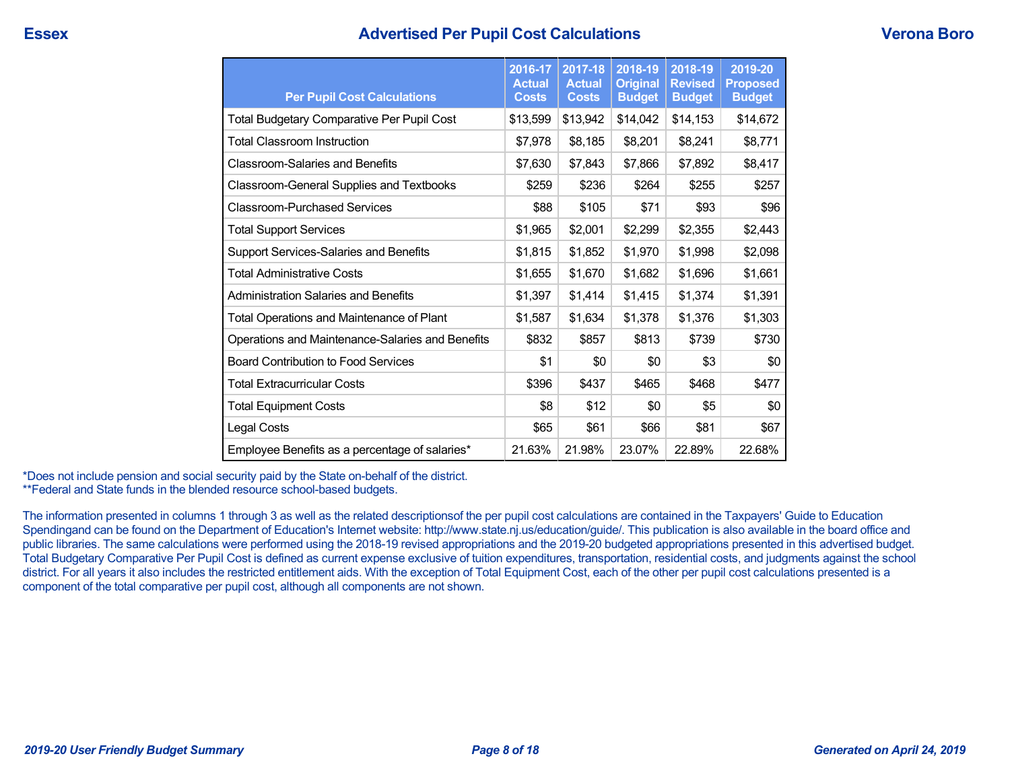## **Essex Advertised Per Pupil Cost Calculations Verona Boro**

| <b>Per Pupil Cost Calculations</b>                | 2016-17<br><b>Actual</b><br><b>Costs</b> | 2017-18<br><b>Actual</b><br><b>Costs</b> | 2018-19<br><b>Original</b><br><b>Budget</b> | 2018-19<br><b>Revised</b><br><b>Budget</b> | 2019-20<br><b>Proposed</b><br><b>Budget</b> |
|---------------------------------------------------|------------------------------------------|------------------------------------------|---------------------------------------------|--------------------------------------------|---------------------------------------------|
| <b>Total Budgetary Comparative Per Pupil Cost</b> | \$13,599                                 | \$13,942                                 | \$14,042                                    | \$14,153                                   | \$14,672                                    |
| <b>Total Classroom Instruction</b>                | \$7,978                                  | \$8,185                                  | \$8,201                                     | \$8,241                                    | \$8,771                                     |
| <b>Classroom-Salaries and Benefits</b>            | \$7,630                                  | \$7,843                                  | \$7,866                                     | \$7,892                                    | \$8,417                                     |
| <b>Classroom-General Supplies and Textbooks</b>   | \$259                                    | \$236                                    | \$264                                       | \$255                                      | \$257                                       |
| <b>Classroom-Purchased Services</b>               | \$88                                     | \$105                                    | \$71                                        | \$93                                       | \$96                                        |
| <b>Total Support Services</b>                     | \$1,965                                  | \$2,001                                  | \$2,299                                     | \$2,355                                    | \$2,443                                     |
| Support Services-Salaries and Benefits            | \$1,815                                  | \$1,852                                  | \$1,970                                     | \$1,998                                    | \$2,098                                     |
| <b>Total Administrative Costs</b>                 | \$1,655                                  | \$1,670                                  | \$1,682                                     | \$1,696                                    | \$1,661                                     |
| <b>Administration Salaries and Benefits</b>       | \$1,397                                  | \$1,414                                  | \$1,415                                     | \$1,374                                    | \$1,391                                     |
| Total Operations and Maintenance of Plant         | \$1,587                                  | \$1,634                                  | \$1,378                                     | \$1,376                                    | \$1,303                                     |
| Operations and Maintenance-Salaries and Benefits  | \$832                                    | \$857                                    | \$813                                       | \$739                                      | \$730                                       |
| <b>Board Contribution to Food Services</b>        | \$1                                      | \$0                                      | \$0                                         | \$3                                        | \$0                                         |
| <b>Total Extracurricular Costs</b>                | \$396                                    | \$437                                    | \$465                                       | \$468                                      | \$477                                       |
| <b>Total Equipment Costs</b>                      | \$8                                      | \$12                                     | \$0                                         | \$5                                        | \$0                                         |
| Legal Costs                                       | \$65                                     | \$61                                     | \$66                                        | \$81                                       | \$67                                        |
| Employee Benefits as a percentage of salaries*    | 21.63%                                   | 21.98%                                   | 23.07%                                      | 22.89%                                     | 22.68%                                      |

\*Does not include pension and social security paid by the State on-behalf of the district. \*\*Federal and State funds in the blended resource school-based budgets.

The information presented in columns 1 through 3 as well as the related descriptionsof the per pupil cost calculations are contained in the Taxpayers' Guide to Education Spendingand can be found on the Department of Education's Internet website: http://www.state.nj.us/education/guide/. This publication is also available in the board office and public libraries. The same calculations were performed using the 2018-19 revised appropriations and the 2019-20 budgeted appropriations presented in this advertised budget. Total Budgetary Comparative Per Pupil Cost is defined as current expense exclusive of tuition expenditures, transportation, residential costs, and judgments against the school district. For all years it also includes the restricted entitlement aids. With the exception of Total Equipment Cost, each of the other per pupil cost calculations presented is a component of the total comparative per pupil cost, although all components are not shown.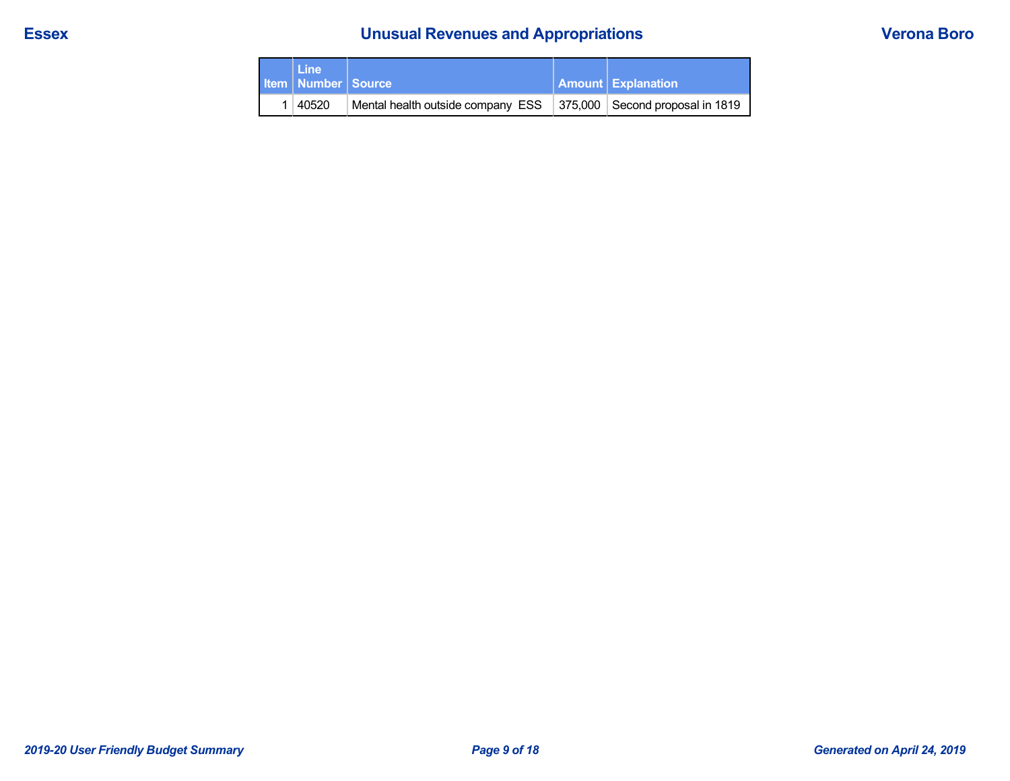# **Essex Unusual Revenues and Appropriations Verona Boro**

| <b>Line</b><br><b>Item   Number   Source</b> |                                                                       | <b>Amount Explanation</b> |
|----------------------------------------------|-----------------------------------------------------------------------|---------------------------|
| 1 40520                                      | Mental health outside company ESS   375,000   Second proposal in 1819 |                           |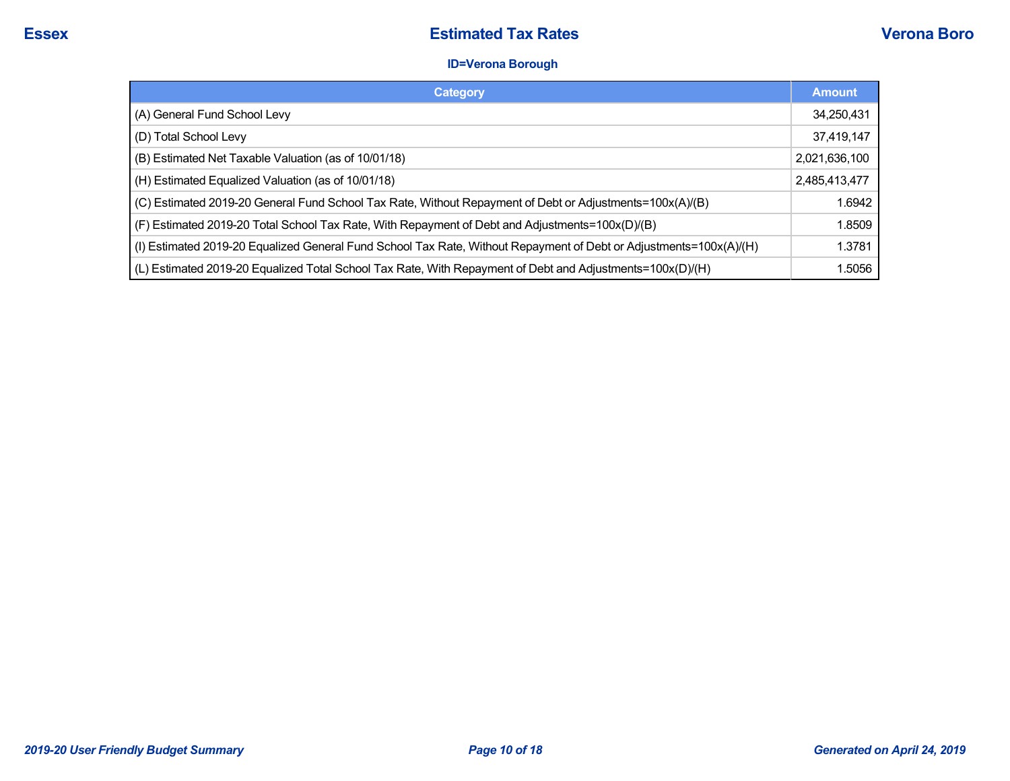## **ID=Verona Borough**

| Category                                                                                                           | <b>Amount</b> |
|--------------------------------------------------------------------------------------------------------------------|---------------|
| (A) General Fund School Levy                                                                                       | 34,250,431    |
| (D) Total School Levy                                                                                              | 37,419,147    |
| (B) Estimated Net Taxable Valuation (as of 10/01/18)                                                               | 2,021,636,100 |
| (H) Estimated Equalized Valuation (as of 10/01/18)                                                                 | 2,485,413,477 |
| (C) Estimated 2019-20 General Fund School Tax Rate, Without Repayment of Debt or Adjustments=100x(A)/(B)           | 1.6942        |
| (F) Estimated 2019-20 Total School Tax Rate, With Repayment of Debt and Adjustments=100x(D)/(B)                    | 1.8509        |
| (I) Estimated 2019-20 Equalized General Fund School Tax Rate, Without Repayment of Debt or Adjustments=100x(A)/(H) | 1.3781        |
| (L) Estimated 2019-20 Equalized Total School Tax Rate, With Repayment of Debt and Adjustments=100x(D)/(H)          | 1.5056        |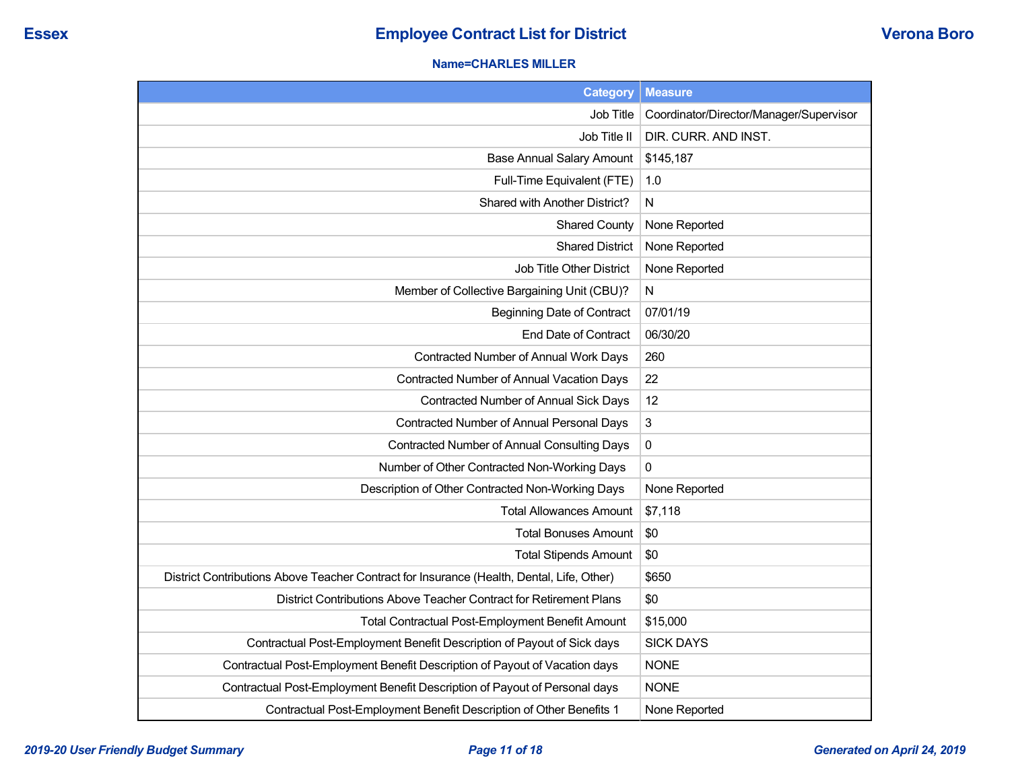#### **Name=CHARLES MILLER**

| <b>Category</b>                                                                           | <b>Measure</b>                          |
|-------------------------------------------------------------------------------------------|-----------------------------------------|
| Job Title                                                                                 | Coordinator/Director/Manager/Supervisor |
| Job Title II                                                                              | DIR. CURR. AND INST.                    |
| <b>Base Annual Salary Amount</b>                                                          | \$145,187                               |
| Full-Time Equivalent (FTE)                                                                | 1.0                                     |
| Shared with Another District?                                                             | N                                       |
| <b>Shared County</b>                                                                      | None Reported                           |
| <b>Shared District</b>                                                                    | None Reported                           |
| Job Title Other District                                                                  | None Reported                           |
| Member of Collective Bargaining Unit (CBU)?                                               | N                                       |
| <b>Beginning Date of Contract</b>                                                         | 07/01/19                                |
| End Date of Contract                                                                      | 06/30/20                                |
| Contracted Number of Annual Work Days                                                     | 260                                     |
| Contracted Number of Annual Vacation Days                                                 | 22                                      |
| Contracted Number of Annual Sick Days                                                     | 12                                      |
| Contracted Number of Annual Personal Days                                                 | $\sqrt{3}$                              |
| Contracted Number of Annual Consulting Days                                               | $\pmb{0}$                               |
| Number of Other Contracted Non-Working Days                                               | 0                                       |
| Description of Other Contracted Non-Working Days                                          | None Reported                           |
| <b>Total Allowances Amount</b>                                                            | \$7,118                                 |
| <b>Total Bonuses Amount</b>                                                               | \$0                                     |
| <b>Total Stipends Amount</b>                                                              | \$0                                     |
| District Contributions Above Teacher Contract for Insurance (Health, Dental, Life, Other) | \$650                                   |
| District Contributions Above Teacher Contract for Retirement Plans                        | \$0                                     |
| <b>Total Contractual Post-Employment Benefit Amount</b>                                   | \$15,000                                |
| Contractual Post-Employment Benefit Description of Payout of Sick days                    | <b>SICK DAYS</b>                        |
| Contractual Post-Employment Benefit Description of Payout of Vacation days                | <b>NONE</b>                             |
| Contractual Post-Employment Benefit Description of Payout of Personal days                | <b>NONE</b>                             |
| Contractual Post-Employment Benefit Description of Other Benefits 1                       | None Reported                           |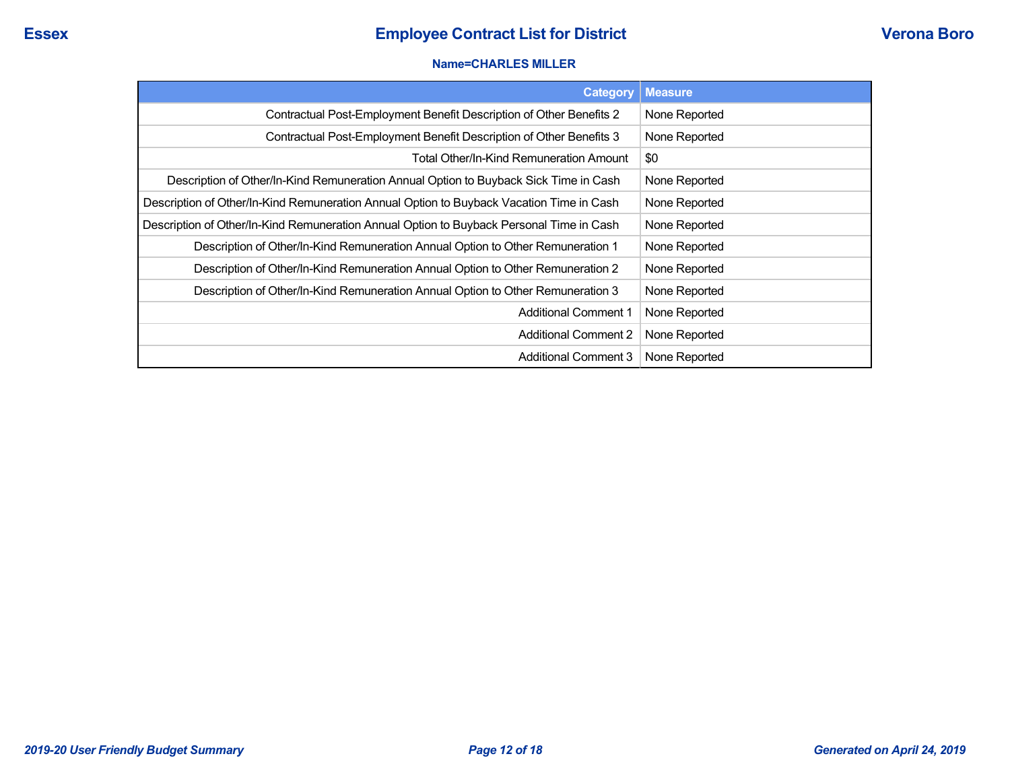#### **Name=CHARLES MILLER**

| <b>Category</b>                                                                          | <b>Measure</b> |
|------------------------------------------------------------------------------------------|----------------|
| Contractual Post-Employment Benefit Description of Other Benefits 2                      | None Reported  |
| Contractual Post-Employment Benefit Description of Other Benefits 3                      | None Reported  |
| <b>Total Other/In-Kind Remuneration Amount</b>                                           | \$0            |
| Description of Other/In-Kind Remuneration Annual Option to Buyback Sick Time in Cash     | None Reported  |
| Description of Other/In-Kind Remuneration Annual Option to Buyback Vacation Time in Cash | None Reported  |
| Description of Other/In-Kind Remuneration Annual Option to Buyback Personal Time in Cash | None Reported  |
| Description of Other/In-Kind Remuneration Annual Option to Other Remuneration 1          | None Reported  |
| Description of Other/In-Kind Remuneration Annual Option to Other Remuneration 2          | None Reported  |
| Description of Other/In-Kind Remuneration Annual Option to Other Remuneration 3          | None Reported  |
| <b>Additional Comment 1</b>                                                              | None Reported  |
| <b>Additional Comment 2</b>                                                              | None Reported  |
| Additional Comment 3                                                                     | None Reported  |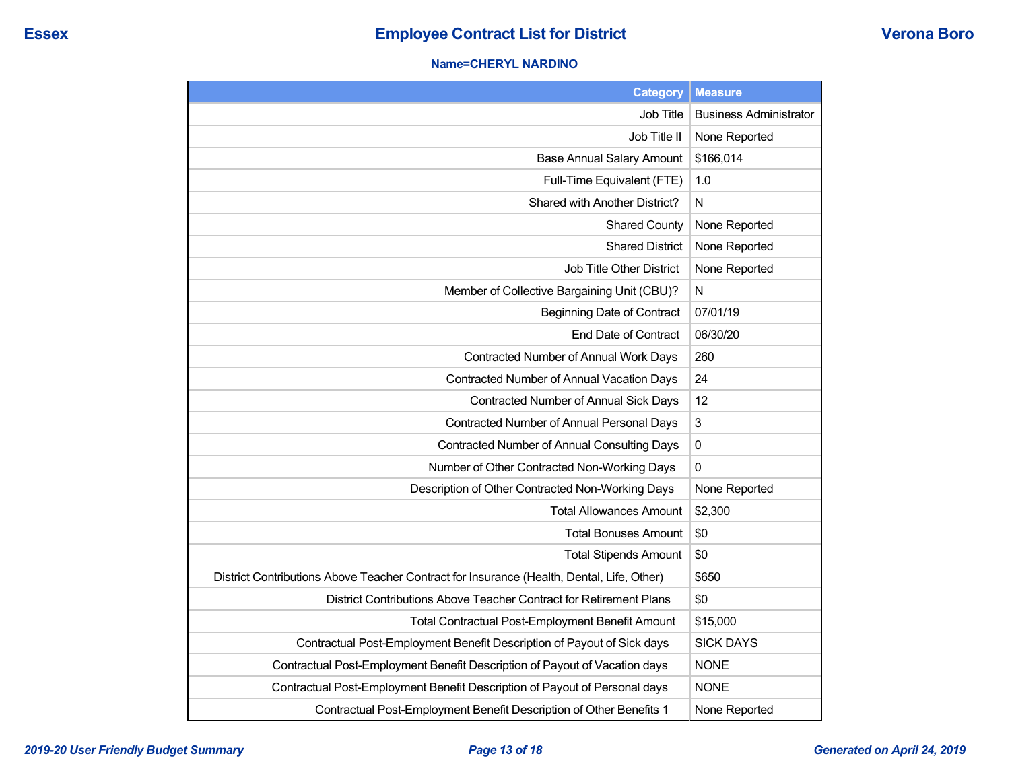#### **Name=CHERYL NARDINO**

| <b>Category</b>                                                                           | <b>Measure</b>                |
|-------------------------------------------------------------------------------------------|-------------------------------|
| Job Title                                                                                 | <b>Business Administrator</b> |
| Job Title II                                                                              | None Reported                 |
| <b>Base Annual Salary Amount</b>                                                          | \$166,014                     |
| Full-Time Equivalent (FTE)                                                                | 1.0                           |
| Shared with Another District?                                                             | N                             |
| <b>Shared County</b>                                                                      | None Reported                 |
| <b>Shared District</b>                                                                    | None Reported                 |
| Job Title Other District                                                                  | None Reported                 |
| Member of Collective Bargaining Unit (CBU)?                                               | N                             |
| <b>Beginning Date of Contract</b>                                                         | 07/01/19                      |
| <b>End Date of Contract</b>                                                               | 06/30/20                      |
| Contracted Number of Annual Work Days                                                     | 260                           |
| Contracted Number of Annual Vacation Days                                                 | 24                            |
| Contracted Number of Annual Sick Days                                                     | 12                            |
| Contracted Number of Annual Personal Days                                                 | 3                             |
| Contracted Number of Annual Consulting Days                                               | $\pmb{0}$                     |
| Number of Other Contracted Non-Working Days                                               | 0                             |
| Description of Other Contracted Non-Working Days                                          | None Reported                 |
| <b>Total Allowances Amount</b>                                                            | \$2,300                       |
| <b>Total Bonuses Amount</b>                                                               | \$0                           |
| <b>Total Stipends Amount</b>                                                              | \$0                           |
| District Contributions Above Teacher Contract for Insurance (Health, Dental, Life, Other) | \$650                         |
| District Contributions Above Teacher Contract for Retirement Plans                        | \$0                           |
| <b>Total Contractual Post-Employment Benefit Amount</b>                                   | \$15,000                      |
| Contractual Post-Employment Benefit Description of Payout of Sick days                    | <b>SICK DAYS</b>              |
| Contractual Post-Employment Benefit Description of Payout of Vacation days                | <b>NONE</b>                   |
| Contractual Post-Employment Benefit Description of Payout of Personal days                | <b>NONE</b>                   |
| Contractual Post-Employment Benefit Description of Other Benefits 1                       | None Reported                 |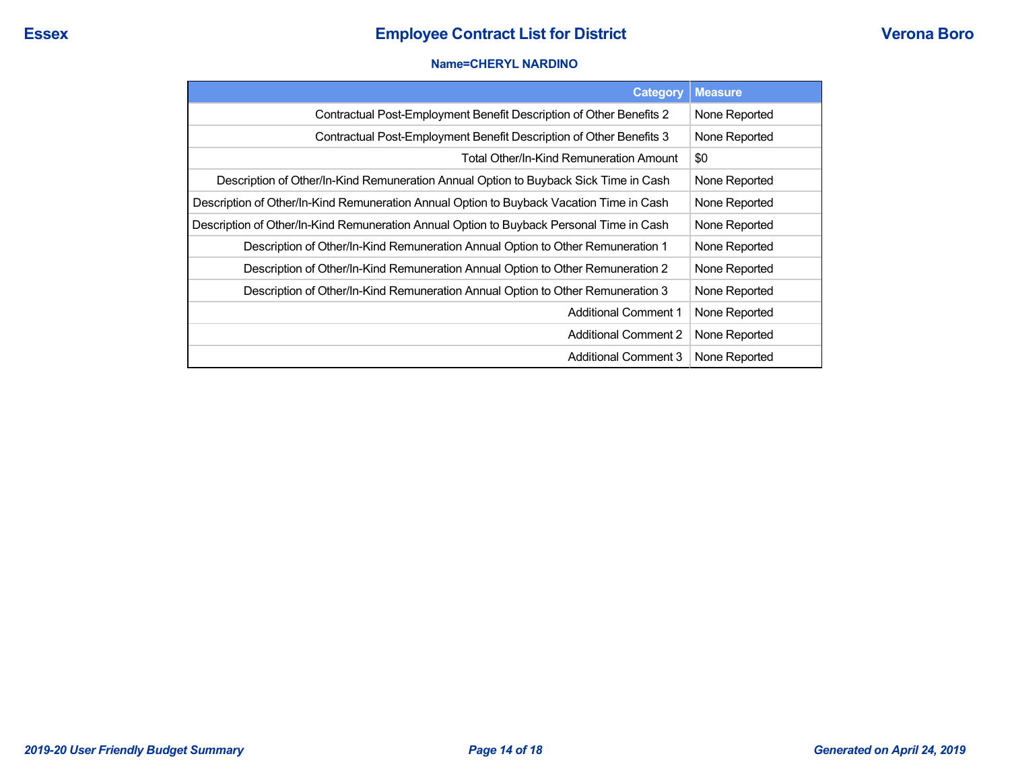#### **Name=CHERYL NARDINO**

| <b>Category</b>                                                                          | <b>Measure</b> |
|------------------------------------------------------------------------------------------|----------------|
| Contractual Post-Employment Benefit Description of Other Benefits 2                      | None Reported  |
| Contractual Post-Employment Benefit Description of Other Benefits 3                      | None Reported  |
| Total Other/In-Kind Remuneration Amount                                                  | \$0            |
| Description of Other/In-Kind Remuneration Annual Option to Buyback Sick Time in Cash     | None Reported  |
| Description of Other/In-Kind Remuneration Annual Option to Buyback Vacation Time in Cash | None Reported  |
| Description of Other/In-Kind Remuneration Annual Option to Buyback Personal Time in Cash | None Reported  |
| Description of Other/In-Kind Remuneration Annual Option to Other Remuneration 1          | None Reported  |
| Description of Other/In-Kind Remuneration Annual Option to Other Remuneration 2          | None Reported  |
| Description of Other/In-Kind Remuneration Annual Option to Other Remuneration 3          | None Reported  |
| <b>Additional Comment 1</b>                                                              | None Reported  |
| <b>Additional Comment 2</b>                                                              | None Reported  |
| <b>Additional Comment 3</b>                                                              | None Reported  |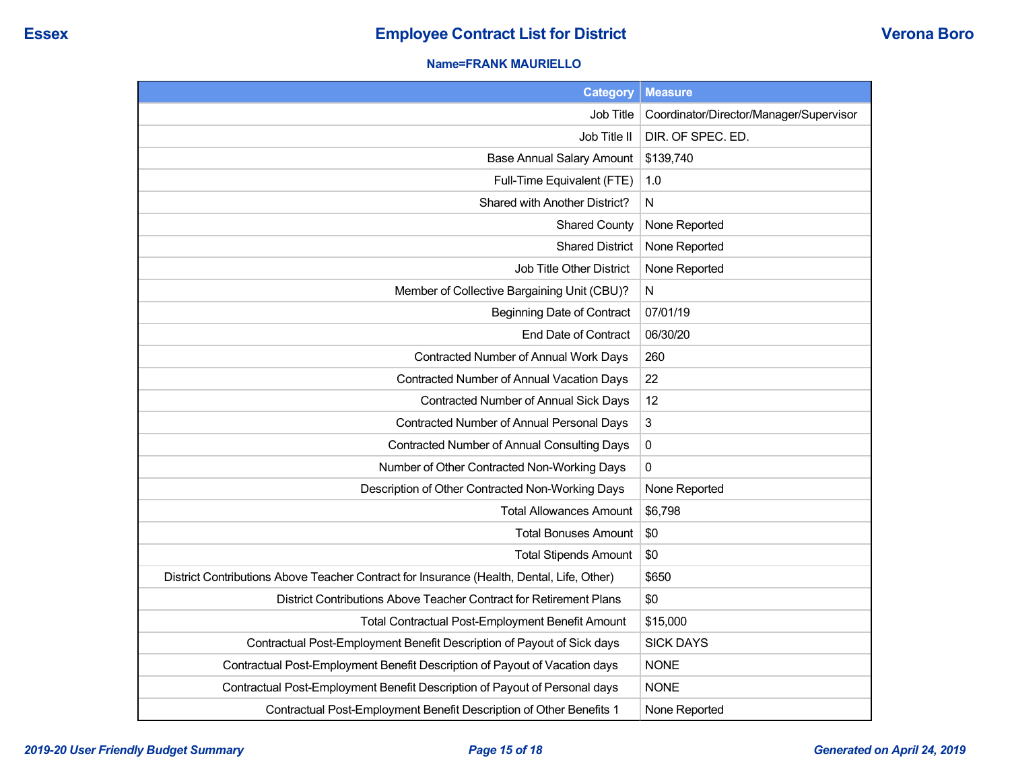### **Name=FRANK MAURIELLO**

| <b>Category</b>                                                                           | <b>Measure</b>                          |
|-------------------------------------------------------------------------------------------|-----------------------------------------|
| Job Title                                                                                 | Coordinator/Director/Manager/Supervisor |
| Job Title II                                                                              | DIR. OF SPEC. ED.                       |
| <b>Base Annual Salary Amount</b>                                                          | \$139,740                               |
| Full-Time Equivalent (FTE)                                                                | 1.0                                     |
| Shared with Another District?                                                             | N                                       |
| <b>Shared County</b>                                                                      | None Reported                           |
| <b>Shared District</b>                                                                    | None Reported                           |
| Job Title Other District                                                                  | None Reported                           |
| Member of Collective Bargaining Unit (CBU)?                                               | $\mathsf{N}$                            |
| <b>Beginning Date of Contract</b>                                                         | 07/01/19                                |
| <b>End Date of Contract</b>                                                               | 06/30/20                                |
| Contracted Number of Annual Work Days                                                     | 260                                     |
| Contracted Number of Annual Vacation Days                                                 | 22                                      |
| Contracted Number of Annual Sick Days                                                     | 12                                      |
| Contracted Number of Annual Personal Days                                                 | 3                                       |
| <b>Contracted Number of Annual Consulting Days</b>                                        | $\pmb{0}$                               |
| Number of Other Contracted Non-Working Days                                               | 0                                       |
| Description of Other Contracted Non-Working Days                                          | None Reported                           |
| <b>Total Allowances Amount</b>                                                            | \$6,798                                 |
| <b>Total Bonuses Amount</b>                                                               | \$0                                     |
| <b>Total Stipends Amount</b>                                                              | \$0                                     |
| District Contributions Above Teacher Contract for Insurance (Health, Dental, Life, Other) | \$650                                   |
| District Contributions Above Teacher Contract for Retirement Plans                        | \$0                                     |
| <b>Total Contractual Post-Employment Benefit Amount</b>                                   | \$15,000                                |
| Contractual Post-Employment Benefit Description of Payout of Sick days                    | <b>SICK DAYS</b>                        |
| Contractual Post-Employment Benefit Description of Payout of Vacation days                | <b>NONE</b>                             |
| Contractual Post-Employment Benefit Description of Payout of Personal days                | <b>NONE</b>                             |
| Contractual Post-Employment Benefit Description of Other Benefits 1                       | None Reported                           |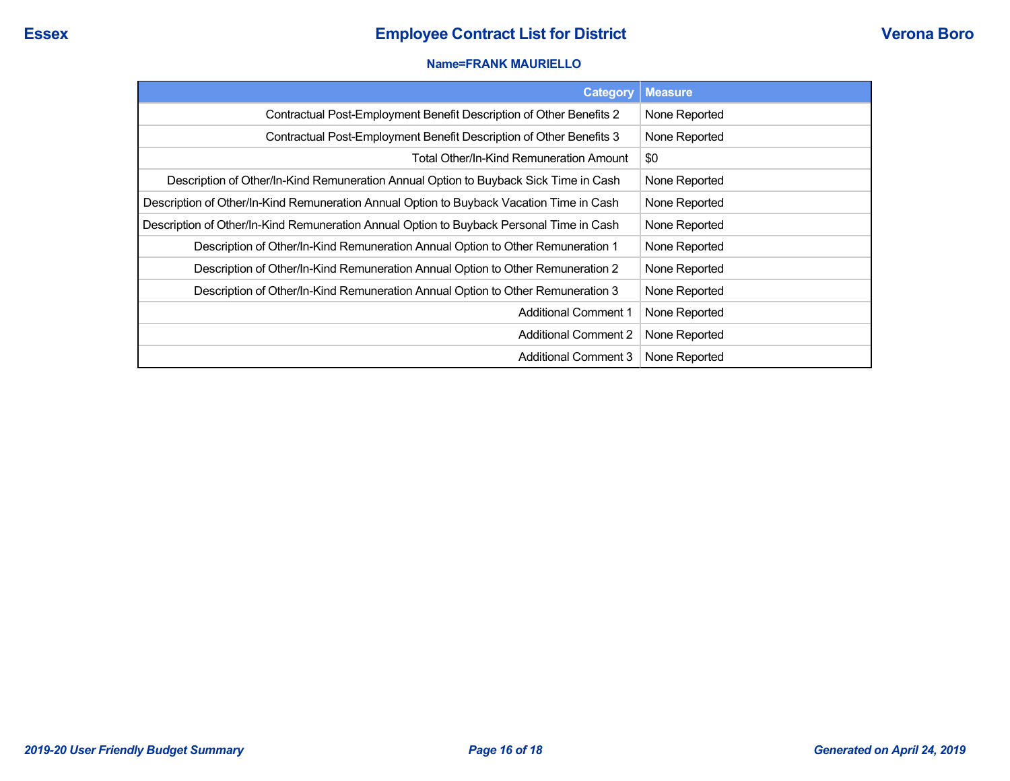#### **Name=FRANK MAURIELLO**

| Category                                                                                 | <b>Measure</b> |
|------------------------------------------------------------------------------------------|----------------|
| Contractual Post-Employment Benefit Description of Other Benefits 2                      | None Reported  |
| Contractual Post-Employment Benefit Description of Other Benefits 3                      | None Reported  |
| Total Other/In-Kind Remuneration Amount                                                  | \$0            |
| Description of Other/In-Kind Remuneration Annual Option to Buyback Sick Time in Cash     | None Reported  |
| Description of Other/In-Kind Remuneration Annual Option to Buyback Vacation Time in Cash | None Reported  |
| Description of Other/In-Kind Remuneration Annual Option to Buyback Personal Time in Cash | None Reported  |
| Description of Other/In-Kind Remuneration Annual Option to Other Remuneration 1          | None Reported  |
| Description of Other/In-Kind Remuneration Annual Option to Other Remuneration 2          | None Reported  |
| Description of Other/In-Kind Remuneration Annual Option to Other Remuneration 3          | None Reported  |
| <b>Additional Comment 1</b>                                                              | None Reported  |
| <b>Additional Comment 2</b>                                                              | None Reported  |
| Additional Comment 3                                                                     | None Reported  |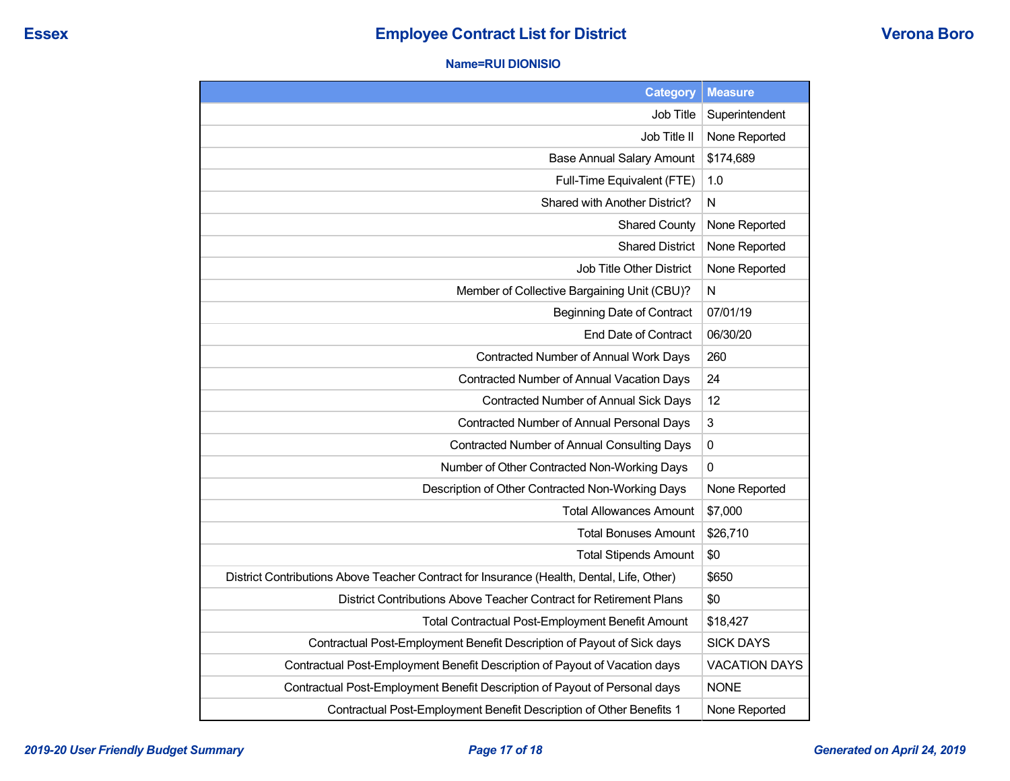#### **Name=RUI DIONISIO**

| <b>Category</b>                                                                           | <b>Measure</b>       |
|-------------------------------------------------------------------------------------------|----------------------|
| Job Title                                                                                 | Superintendent       |
| Job Title II                                                                              | None Reported        |
| <b>Base Annual Salary Amount</b>                                                          | \$174,689            |
| Full-Time Equivalent (FTE)                                                                | 1.0                  |
| Shared with Another District?                                                             | $\mathsf{N}$         |
| <b>Shared County</b>                                                                      | None Reported        |
| <b>Shared District</b>                                                                    | None Reported        |
| Job Title Other District                                                                  | None Reported        |
| Member of Collective Bargaining Unit (CBU)?                                               | N                    |
| <b>Beginning Date of Contract</b>                                                         | 07/01/19             |
| End Date of Contract                                                                      | 06/30/20             |
| Contracted Number of Annual Work Days                                                     | 260                  |
| <b>Contracted Number of Annual Vacation Days</b>                                          | 24                   |
| Contracted Number of Annual Sick Days                                                     | 12                   |
| Contracted Number of Annual Personal Days                                                 | 3                    |
| Contracted Number of Annual Consulting Days                                               | $\mathbf 0$          |
| Number of Other Contracted Non-Working Days                                               | $\mathbf{0}$         |
| Description of Other Contracted Non-Working Days                                          | None Reported        |
| <b>Total Allowances Amount</b>                                                            | \$7,000              |
| <b>Total Bonuses Amount</b>                                                               | \$26,710             |
| <b>Total Stipends Amount</b>                                                              | \$0                  |
| District Contributions Above Teacher Contract for Insurance (Health, Dental, Life, Other) | \$650                |
| District Contributions Above Teacher Contract for Retirement Plans                        | \$0                  |
| Total Contractual Post-Employment Benefit Amount                                          | \$18,427             |
| Contractual Post-Employment Benefit Description of Payout of Sick days                    | <b>SICK DAYS</b>     |
| Contractual Post-Employment Benefit Description of Payout of Vacation days                | <b>VACATION DAYS</b> |
| Contractual Post-Employment Benefit Description of Payout of Personal days                | <b>NONE</b>          |
| Contractual Post-Employment Benefit Description of Other Benefits 1                       | None Reported        |